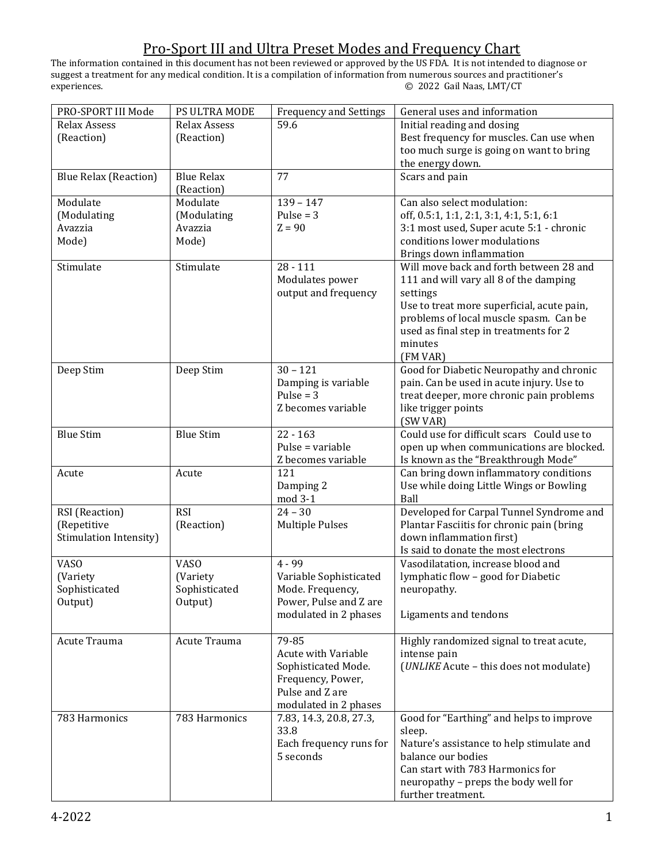The information contained in this document has not been reviewed or approved by the US FDA. It is not intended to diagnose or suggest a treatment for any medical condition. It is a compilation of information from numerous sources and practitioner's experiences. © 2022 Gail Naas, LMT/CT

| PRO-SPORT III Mode           | PS ULTRA MODE     | <b>Frequency and Settings</b> | General uses and information               |
|------------------------------|-------------------|-------------------------------|--------------------------------------------|
| <b>Relax Assess</b>          | Relax Assess      | 59.6                          | Initial reading and dosing                 |
| (Reaction)                   | (Reaction)        |                               | Best frequency for muscles. Can use when   |
|                              |                   |                               | too much surge is going on want to bring   |
|                              |                   |                               | the energy down.                           |
| <b>Blue Relax (Reaction)</b> | <b>Blue Relax</b> | 77                            | Scars and pain                             |
|                              | (Reaction)        |                               |                                            |
| Modulate                     | Modulate          | $139 - 147$                   | Can also select modulation:                |
| (Modulating                  | (Modulating       | Pulse = $3$                   | off, 0.5:1, 1:1, 2:1, 3:1, 4:1, 5:1, 6:1   |
| Avazzia                      | Avazzia           | $Z = 90$                      | 3:1 most used, Super acute 5:1 - chronic   |
| Mode)                        | Mode)             |                               | conditions lower modulations               |
|                              |                   |                               | Brings down inflammation                   |
| Stimulate                    | Stimulate         | $28 - 111$                    | Will move back and forth between 28 and    |
|                              |                   | Modulates power               | 111 and will vary all 8 of the damping     |
|                              |                   | output and frequency          | settings                                   |
|                              |                   |                               | Use to treat more superficial, acute pain, |
|                              |                   |                               | problems of local muscle spasm. Can be     |
|                              |                   |                               | used as final step in treatments for 2     |
|                              |                   |                               | minutes                                    |
|                              |                   |                               | (FM VAR)                                   |
| Deep Stim                    | Deep Stim         | $30 - 121$                    | Good for Diabetic Neuropathy and chronic   |
|                              |                   | Damping is variable           | pain. Can be used in acute injury. Use to  |
|                              |                   | Pulse = $3$                   | treat deeper, more chronic pain problems   |
|                              |                   | Z becomes variable            | like trigger points                        |
|                              |                   |                               | (SW VAR)                                   |
| <b>Blue Stim</b>             | <b>Blue Stim</b>  | $22 - 163$                    | Could use for difficult scars Could use to |
|                              |                   | Pulse = variable              | open up when communications are blocked.   |
|                              |                   | Z becomes variable            | Is known as the "Breakthrough Mode"        |
| Acute                        | Acute             | 121                           | Can bring down inflammatory conditions     |
|                              |                   | Damping 2                     | Use while doing Little Wings or Bowling    |
|                              |                   | mod 3-1                       | Ball                                       |
| RSI (Reaction)               | <b>RSI</b>        | $24 - 30$                     | Developed for Carpal Tunnel Syndrome and   |
| (Repetitive                  | (Reaction)        | <b>Multiple Pulses</b>        | Plantar Fasciitis for chronic pain (bring  |
| Stimulation Intensity)       |                   |                               | down inflammation first)                   |
|                              |                   |                               | Is said to donate the most electrons       |
| <b>VASO</b>                  | <b>VASO</b>       | 4 - 99                        | Vasodilatation, increase blood and         |
| (Variety                     | (Variety          | Variable Sophisticated        | lymphatic flow - good for Diabetic         |
| Sophisticated                | Sophisticated     | Mode. Frequency,              | neuropathy.                                |
| Output)                      | Output)           | Power, Pulse and Z are        |                                            |
|                              |                   | modulated in 2 phases         | Ligaments and tendons                      |
|                              |                   |                               |                                            |
| Acute Trauma                 | Acute Trauma      | 79-85                         | Highly randomized signal to treat acute,   |
|                              |                   | <b>Acute with Variable</b>    | intense pain                               |
|                              |                   | Sophisticated Mode.           | (UNLIKE Acute - this does not modulate)    |
|                              |                   | Frequency, Power,             |                                            |
|                              |                   | Pulse and Z are               |                                            |
|                              |                   | modulated in 2 phases         |                                            |
| 783 Harmonics                | 783 Harmonics     | 7.83, 14.3, 20.8, 27.3,       | Good for "Earthing" and helps to improve   |
|                              |                   | 33.8                          | sleep.                                     |
|                              |                   | Each frequency runs for       | Nature's assistance to help stimulate and  |
|                              |                   | 5 seconds                     | balance our bodies                         |
|                              |                   |                               | Can start with 783 Harmonics for           |
|                              |                   |                               | neuropathy - preps the body well for       |
|                              |                   |                               | further treatment.                         |
|                              |                   |                               |                                            |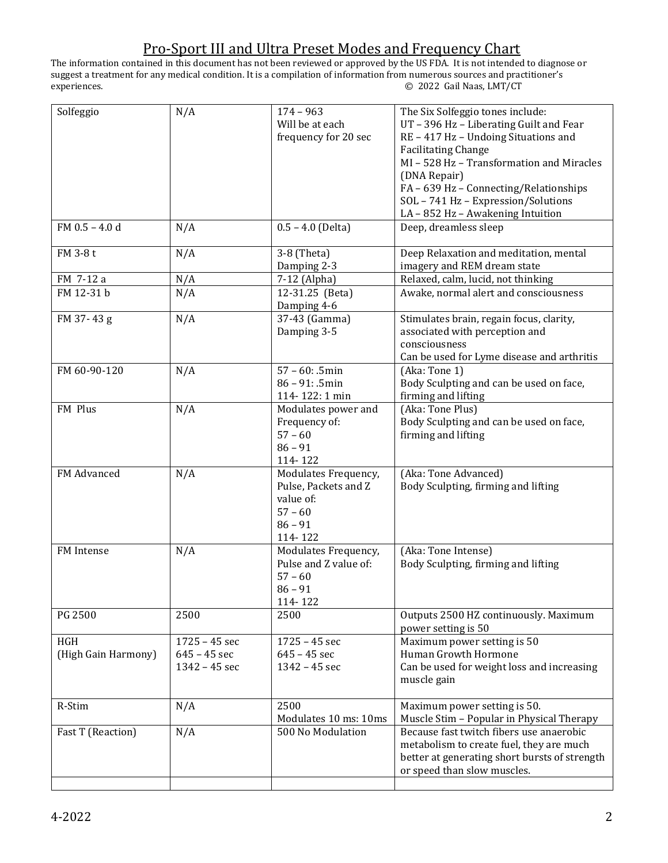The information contained in this document has not been reviewed or approved by the US FDA. It is not intended to diagnose or suggest a treatment for any medical condition. It is a compilation of information from numerous sources and practitioner's experiences. © 2022 Gail Naas, LMT/CT

| Solfeggio                  | N/A                                                | $174 - 963$<br>Will be at each<br>frequency for 20 sec                                         | The Six Solfeggio tones include:<br>UT-396 Hz-Liberating Guilt and Fear<br>RE - 417 Hz - Undoing Situations and<br><b>Facilitating Change</b><br>MI - 528 Hz - Transformation and Miracles<br>(DNA Repair)<br>FA - 639 Hz - Connecting/Relationships |
|----------------------------|----------------------------------------------------|------------------------------------------------------------------------------------------------|------------------------------------------------------------------------------------------------------------------------------------------------------------------------------------------------------------------------------------------------------|
|                            |                                                    |                                                                                                | SOL - 741 Hz - Expression/Solutions<br>LA-852 Hz-Awakening Intuition                                                                                                                                                                                 |
| FM $0.5 - 4.0$ d           | N/A                                                | $0.5 - 4.0$ (Delta)                                                                            | Deep, dreamless sleep                                                                                                                                                                                                                                |
| FM 3-8t                    | N/A                                                | 3-8 (Theta)<br>Damping 2-3                                                                     | Deep Relaxation and meditation, mental<br>imagery and REM dream state                                                                                                                                                                                |
| FM 7-12 a                  | N/A                                                | 7-12 (Alpha)                                                                                   | Relaxed, calm, lucid, not thinking                                                                                                                                                                                                                   |
| FM 12-31 b                 | N/A                                                | 12-31.25 (Beta)<br>Damping 4-6                                                                 | Awake, normal alert and consciousness                                                                                                                                                                                                                |
| FM 37-43g                  | N/A                                                | 37-43 (Gamma)<br>Damping 3-5                                                                   | Stimulates brain, regain focus, clarity,<br>associated with perception and<br>consciousness<br>Can be used for Lyme disease and arthritis                                                                                                            |
| FM 60-90-120               | N/A                                                | $57 - 60: .5min$<br>$86 - 91: .5min$<br>114-122: 1 min                                         | (Aka: Tone 1)<br>Body Sculpting and can be used on face,<br>firming and lifting                                                                                                                                                                      |
| FM Plus                    | N/A                                                | Modulates power and<br>Frequency of:<br>$57 - 60$<br>$86 - 91$<br>114-122                      | (Aka: Tone Plus)<br>Body Sculpting and can be used on face,<br>firming and lifting                                                                                                                                                                   |
| FM Advanced                | N/A                                                | Modulates Frequency,<br>Pulse, Packets and Z<br>value of:<br>$57 - 60$<br>$86 - 91$<br>114-122 | (Aka: Tone Advanced)<br>Body Sculpting, firming and lifting                                                                                                                                                                                          |
| FM Intense                 | N/A                                                | Modulates Frequency,<br>Pulse and Z value of:<br>$57 - 60$<br>$86 - 91$<br>114-122             | (Aka: Tone Intense)<br>Body Sculpting, firming and lifting                                                                                                                                                                                           |
| PG 2500                    | 2500                                               | 2500                                                                                           | Outputs 2500 HZ continuously. Maximum<br>power setting is 50                                                                                                                                                                                         |
| HGH<br>(High Gain Harmony) | $1725 - 45$ sec<br>$645 - 45$ sec<br>1342 - 45 sec | $1725 - 45$ sec<br>$645 - 45$ sec<br>1342 - 45 sec                                             | Maximum power setting is 50<br>Human Growth Hormone<br>Can be used for weight loss and increasing<br>muscle gain                                                                                                                                     |
| R-Stim                     | N/A                                                | 2500<br>Modulates 10 ms: 10ms                                                                  | Maximum power setting is 50.<br>Muscle Stim - Popular in Physical Therapy                                                                                                                                                                            |
| Fast T (Reaction)          | N/A                                                | 500 No Modulation                                                                              | Because fast twitch fibers use anaerobic<br>metabolism to create fuel, they are much<br>better at generating short bursts of strength<br>or speed than slow muscles.                                                                                 |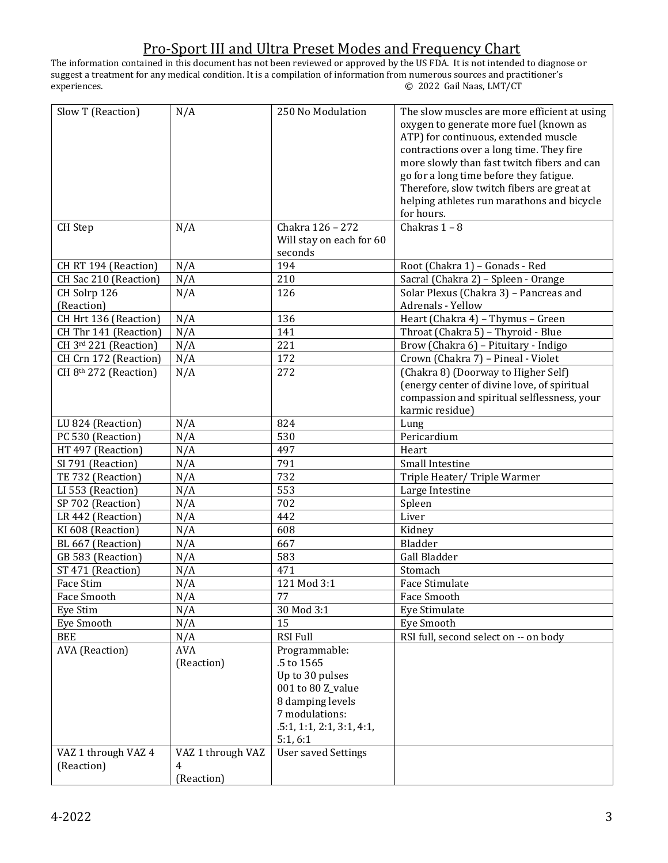The information contained in this document has not been reviewed or approved by the US FDA. It is not intended to diagnose or suggest a treatment for any medical condition. It is a compilation of information from numerous sources and practitioner's experiences. © 2022 Gail Naas, LMT/CT

| Slow T (Reaction)     | N/A               | 250 No Modulation          | The slow muscles are more efficient at using |
|-----------------------|-------------------|----------------------------|----------------------------------------------|
|                       |                   |                            | oxygen to generate more fuel (known as       |
|                       |                   |                            | ATP) for continuous, extended muscle         |
|                       |                   |                            | contractions over a long time. They fire     |
|                       |                   |                            | more slowly than fast twitch fibers and can  |
|                       |                   |                            | go for a long time before they fatigue.      |
|                       |                   |                            |                                              |
|                       |                   |                            | Therefore, slow twitch fibers are great at   |
|                       |                   |                            | helping athletes run marathons and bicycle   |
|                       |                   |                            | for hours.                                   |
| <b>CH</b> Step        | N/A               | Chakra 126 - 272           | Chakras $1 - 8$                              |
|                       |                   | Will stay on each for 60   |                                              |
|                       |                   | seconds                    |                                              |
| CH RT 194 (Reaction)  | N/A               | 194                        | Root (Chakra 1) - Gonads - Red               |
| CH Sac 210 (Reaction) | N/A               | 210                        | Sacral (Chakra 2) - Spleen - Orange          |
| CH Solrp 126          | N/A               | 126                        | Solar Plexus (Chakra 3) - Pancreas and       |
| (Reaction)            |                   |                            | Adrenals - Yellow                            |
| CH Hrt 136 (Reaction) | N/A               | 136                        | Heart (Chakra 4) - Thymus - Green            |
| CH Thr 141 (Reaction) | N/A               | 141                        | Throat (Chakra 5) - Thyroid - Blue           |
| CH 3rd 221 (Reaction) | N/A               | 221                        | Brow (Chakra 6) - Pituitary - Indigo         |
| CH Crn 172 (Reaction) | N/A               | 172                        | Crown (Chakra 7) - Pineal - Violet           |
| CH 8th 272 (Reaction) | N/A               | 272                        | (Chakra 8) (Doorway to Higher Self)          |
|                       |                   |                            | (energy center of divine love, of spiritual  |
|                       |                   |                            | compassion and spiritual selflessness, your  |
|                       |                   |                            | karmic residue)                              |
|                       |                   | 824                        |                                              |
| LU 824 (Reaction)     | N/A               |                            | Lung                                         |
| PC 530 (Reaction)     | N/A               | 530                        | Pericardium                                  |
| HT 497 (Reaction)     | N/A               | 497                        | Heart                                        |
| SI 791 (Reaction)     | N/A               | 791                        | Small Intestine                              |
| TE 732 (Reaction)     | N/A               | 732                        | Triple Heater/Triple Warmer                  |
| LI 553 (Reaction)     | N/A               | 553                        | Large Intestine                              |
| SP 702 (Reaction)     | N/A               | 702                        | Spleen                                       |
| LR 442 (Reaction)     | N/A               | 442                        | Liver                                        |
| KI 608 (Reaction)     | N/A               | 608                        | Kidney                                       |
| BL 667 (Reaction)     | N/A               | 667                        | Bladder                                      |
| GB 583 (Reaction)     | N/A               | 583                        | Gall Bladder                                 |
| ST 471 (Reaction)     | N/A               | 471                        | Stomach                                      |
| Face Stim             | N/A               | 121 Mod 3:1                | Face Stimulate                               |
| Face Smooth           | N/A               | 77                         | Face Smooth                                  |
| Eye Stim              | N/A               | 30 Mod 3:1                 | Eye Stimulate                                |
| Eye Smooth            | N/A               | 15                         | Eye Smooth                                   |
| <b>BEE</b>            | N/A               | <b>RSI Full</b>            | RSI full, second select on -- on body        |
| <b>AVA</b> (Reaction) | AVA               | Programmable:              |                                              |
|                       | (Reaction)        | .5 to 1565                 |                                              |
|                       |                   | Up to 30 pulses            |                                              |
|                       |                   | 001 to 80 Z_value          |                                              |
|                       |                   | 8 damping levels           |                                              |
|                       |                   | 7 modulations:             |                                              |
|                       |                   |                            |                                              |
|                       |                   | .5:1, 1:1, 2:1, 3:1, 4:1,  |                                              |
|                       |                   | 5:1, 6:1                   |                                              |
| VAZ 1 through VAZ 4   | VAZ 1 through VAZ | <b>User saved Settings</b> |                                              |
| (Reaction)            | 4                 |                            |                                              |
|                       | (Reaction)        |                            |                                              |